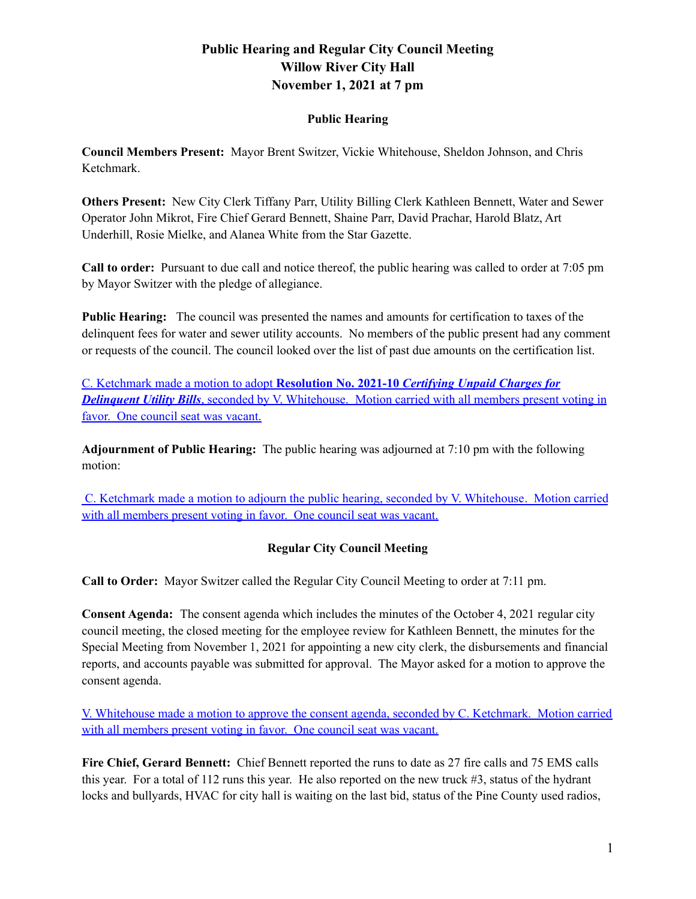## **Public Hearing**

**Council Members Present:** Mayor Brent Switzer, Vickie Whitehouse, Sheldon Johnson, and Chris Ketchmark.

**Others Present:** New City Clerk Tiffany Parr, Utility Billing Clerk Kathleen Bennett, Water and Sewer Operator John Mikrot, Fire Chief Gerard Bennett, Shaine Parr, David Prachar, Harold Blatz, Art Underhill, Rosie Mielke, and Alanea White from the Star Gazette.

**Call to order:** Pursuant to due call and notice thereof, the public hearing was called to order at 7:05 pm by Mayor Switzer with the pledge of allegiance.

**Public Hearing:** The council was presented the names and amounts for certification to taxes of the delinquent fees for water and sewer utility accounts. No members of the public present had any comment or requests of the council. The council looked over the list of past due amounts on the certification list.

C. Ketchmark made a motion to adopt **Resolution No. 2021-10** *Certifying Unpaid Charges for Delinquent Utility Bills*, seconded by V. Whitehouse. Motion carried with all members present voting in favor. One council seat was vacant.

**Adjournment of Public Hearing:** The public hearing was adjourned at 7:10 pm with the following motion:

C. Ketchmark made a motion to adjourn the public hearing, seconded by V. Whitehouse. Motion carried with all members present voting in favor. One council seat was vacant.

## **Regular City Council Meeting**

**Call to Order:** Mayor Switzer called the Regular City Council Meeting to order at 7:11 pm.

**Consent Agenda:** The consent agenda which includes the minutes of the October 4, 2021 regular city council meeting, the closed meeting for the employee review for Kathleen Bennett, the minutes for the Special Meeting from November 1, 2021 for appointing a new city clerk, the disbursements and financial reports, and accounts payable was submitted for approval. The Mayor asked for a motion to approve the consent agenda.

V. Whitehouse made a motion to approve the consent agenda, seconded by C. Ketchmark. Motion carried with all members present voting in favor. One council seat was vacant.

**Fire Chief, Gerard Bennett:** Chief Bennett reported the runs to date as 27 fire calls and 75 EMS calls this year. For a total of 112 runs this year. He also reported on the new truck #3, status of the hydrant locks and bullyards, HVAC for city hall is waiting on the last bid, status of the Pine County used radios,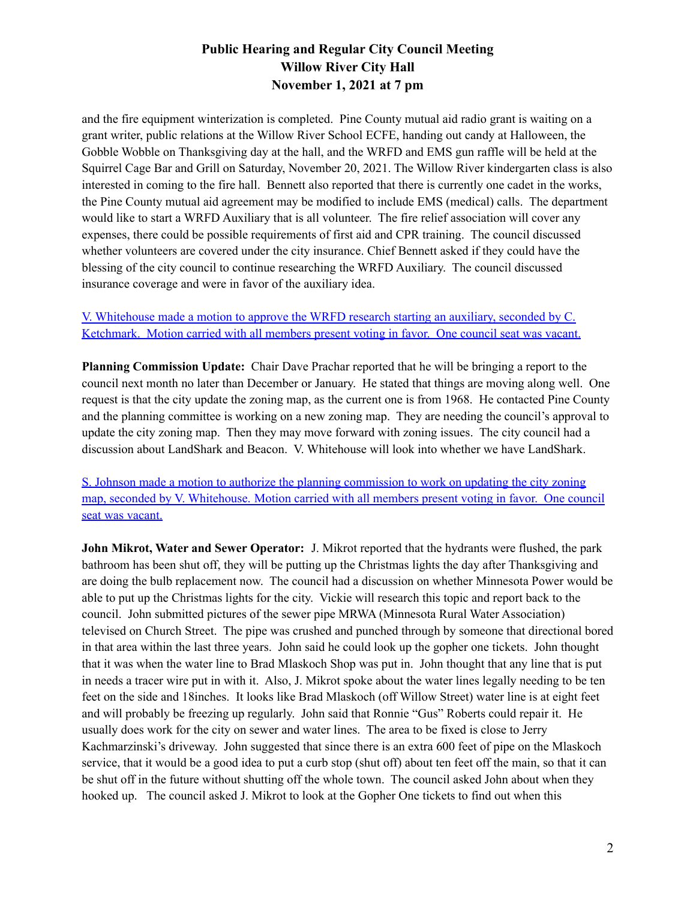and the fire equipment winterization is completed. Pine County mutual aid radio grant is waiting on a grant writer, public relations at the Willow River School ECFE, handing out candy at Halloween, the Gobble Wobble on Thanksgiving day at the hall, and the WRFD and EMS gun raffle will be held at the Squirrel Cage Bar and Grill on Saturday, November 20, 2021. The Willow River kindergarten class is also interested in coming to the fire hall. Bennett also reported that there is currently one cadet in the works, the Pine County mutual aid agreement may be modified to include EMS (medical) calls. The department would like to start a WRFD Auxiliary that is all volunteer. The fire relief association will cover any expenses, there could be possible requirements of first aid and CPR training. The council discussed whether volunteers are covered under the city insurance. Chief Bennett asked if they could have the blessing of the city council to continue researching the WRFD Auxiliary. The council discussed insurance coverage and were in favor of the auxiliary idea.

## V. Whitehouse made a motion to approve the WRFD research starting an auxiliary, seconded by C. Ketchmark. Motion carried with all members present voting in favor. One council seat was vacant.

**Planning Commission Update:** Chair Dave Prachar reported that he will be bringing a report to the council next month no later than December or January. He stated that things are moving along well. One request is that the city update the zoning map, as the current one is from 1968. He contacted Pine County and the planning committee is working on a new zoning map. They are needing the council's approval to update the city zoning map. Then they may move forward with zoning issues. The city council had a discussion about LandShark and Beacon. V. Whitehouse will look into whether we have LandShark.

S. Johnson made a motion to authorize the planning commission to work on updating the city zoning map, seconded by V. Whitehouse. Motion carried with all members present voting in favor. One council seat was vacant.

**John Mikrot, Water and Sewer Operator:** J. Mikrot reported that the hydrants were flushed, the park bathroom has been shut off, they will be putting up the Christmas lights the day after Thanksgiving and are doing the bulb replacement now. The council had a discussion on whether Minnesota Power would be able to put up the Christmas lights for the city. Vickie will research this topic and report back to the council. John submitted pictures of the sewer pipe MRWA (Minnesota Rural Water Association) televised on Church Street. The pipe was crushed and punched through by someone that directional bored in that area within the last three years. John said he could look up the gopher one tickets. John thought that it was when the water line to Brad Mlaskoch Shop was put in. John thought that any line that is put in needs a tracer wire put in with it. Also, J. Mikrot spoke about the water lines legally needing to be ten feet on the side and 18inches. It looks like Brad Mlaskoch (off Willow Street) water line is at eight feet and will probably be freezing up regularly. John said that Ronnie "Gus" Roberts could repair it. He usually does work for the city on sewer and water lines. The area to be fixed is close to Jerry Kachmarzinski's driveway. John suggested that since there is an extra 600 feet of pipe on the Mlaskoch service, that it would be a good idea to put a curb stop (shut off) about ten feet off the main, so that it can be shut off in the future without shutting off the whole town. The council asked John about when they hooked up. The council asked J. Mikrot to look at the Gopher One tickets to find out when this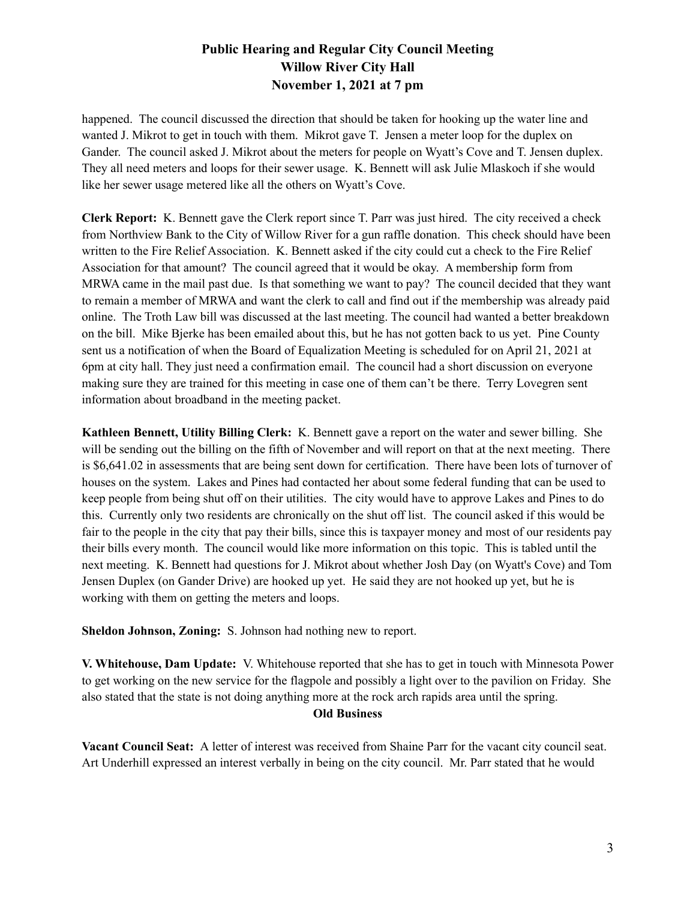happened. The council discussed the direction that should be taken for hooking up the water line and wanted J. Mikrot to get in touch with them. Mikrot gave T. Jensen a meter loop for the duplex on Gander. The council asked J. Mikrot about the meters for people on Wyatt's Cove and T. Jensen duplex. They all need meters and loops for their sewer usage. K. Bennett will ask Julie Mlaskoch if she would like her sewer usage metered like all the others on Wyatt's Cove.

**Clerk Report:** K. Bennett gave the Clerk report since T. Parr was just hired. The city received a check from Northview Bank to the City of Willow River for a gun raffle donation. This check should have been written to the Fire Relief Association. K. Bennett asked if the city could cut a check to the Fire Relief Association for that amount? The council agreed that it would be okay. A membership form from MRWA came in the mail past due. Is that something we want to pay? The council decided that they want to remain a member of MRWA and want the clerk to call and find out if the membership was already paid online. The Troth Law bill was discussed at the last meeting. The council had wanted a better breakdown on the bill. Mike Bjerke has been emailed about this, but he has not gotten back to us yet. Pine County sent us a notification of when the Board of Equalization Meeting is scheduled for on April 21, 2021 at 6pm at city hall. They just need a confirmation email. The council had a short discussion on everyone making sure they are trained for this meeting in case one of them can't be there. Terry Lovegren sent information about broadband in the meeting packet.

**Kathleen Bennett, Utility Billing Clerk:** K. Bennett gave a report on the water and sewer billing. She will be sending out the billing on the fifth of November and will report on that at the next meeting. There is \$6,641.02 in assessments that are being sent down for certification. There have been lots of turnover of houses on the system. Lakes and Pines had contacted her about some federal funding that can be used to keep people from being shut off on their utilities. The city would have to approve Lakes and Pines to do this. Currently only two residents are chronically on the shut off list. The council asked if this would be fair to the people in the city that pay their bills, since this is taxpayer money and most of our residents pay their bills every month. The council would like more information on this topic. This is tabled until the next meeting. K. Bennett had questions for J. Mikrot about whether Josh Day (on Wyatt's Cove) and Tom Jensen Duplex (on Gander Drive) are hooked up yet. He said they are not hooked up yet, but he is working with them on getting the meters and loops.

**Sheldon Johnson, Zoning:** S. Johnson had nothing new to report.

**V. Whitehouse, Dam Update:** V. Whitehouse reported that she has to get in touch with Minnesota Power to get working on the new service for the flagpole and possibly a light over to the pavilion on Friday. She also stated that the state is not doing anything more at the rock arch rapids area until the spring.

#### **Old Business**

**Vacant Council Seat:** A letter of interest was received from Shaine Parr for the vacant city council seat. Art Underhill expressed an interest verbally in being on the city council. Mr. Parr stated that he would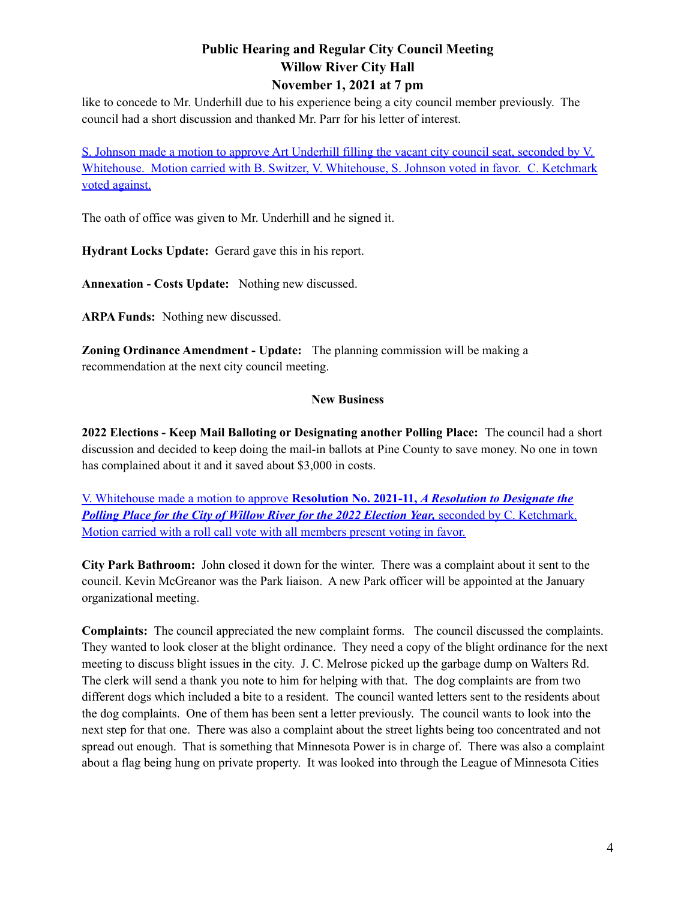like to concede to Mr. Underhill due to his experience being a city council member previously. The council had a short discussion and thanked Mr. Parr for his letter of interest.

S. Johnson made a motion to approve Art Underhill filling the vacant city council seat, seconded by V. Whitehouse. Motion carried with B. Switzer, V. Whitehouse, S. Johnson voted in favor. C. Ketchmark voted against.

The oath of office was given to Mr. Underhill and he signed it.

**Hydrant Locks Update:** Gerard gave this in his report.

**Annexation - Costs Update:** Nothing new discussed.

**ARPA Funds:** Nothing new discussed.

**Zoning Ordinance Amendment - Update:** The planning commission will be making a recommendation at the next city council meeting.

#### **New Business**

**2022 Elections - Keep Mail Balloting or Designating another Polling Place:** The council had a short discussion and decided to keep doing the mail-in ballots at Pine County to save money. No one in town has complained about it and it saved about \$3,000 in costs.

V. Whitehouse made a motion to approve **Resolution No. 2021-11,** *A Resolution to Designate the Polling Place for the City of Willow River for the 2022 Election Year,* seconded by C. Ketchmark. Motion carried with a roll call vote with all members present voting in favor.

**City Park Bathroom:** John closed it down for the winter. There was a complaint about it sent to the council. Kevin McGreanor was the Park liaison. A new Park officer will be appointed at the January organizational meeting.

**Complaints:** The council appreciated the new complaint forms. The council discussed the complaints. They wanted to look closer at the blight ordinance. They need a copy of the blight ordinance for the next meeting to discuss blight issues in the city. J. C. Melrose picked up the garbage dump on Walters Rd. The clerk will send a thank you note to him for helping with that. The dog complaints are from two different dogs which included a bite to a resident. The council wanted letters sent to the residents about the dog complaints. One of them has been sent a letter previously. The council wants to look into the next step for that one. There was also a complaint about the street lights being too concentrated and not spread out enough. That is something that Minnesota Power is in charge of. There was also a complaint about a flag being hung on private property. It was looked into through the League of Minnesota Cities